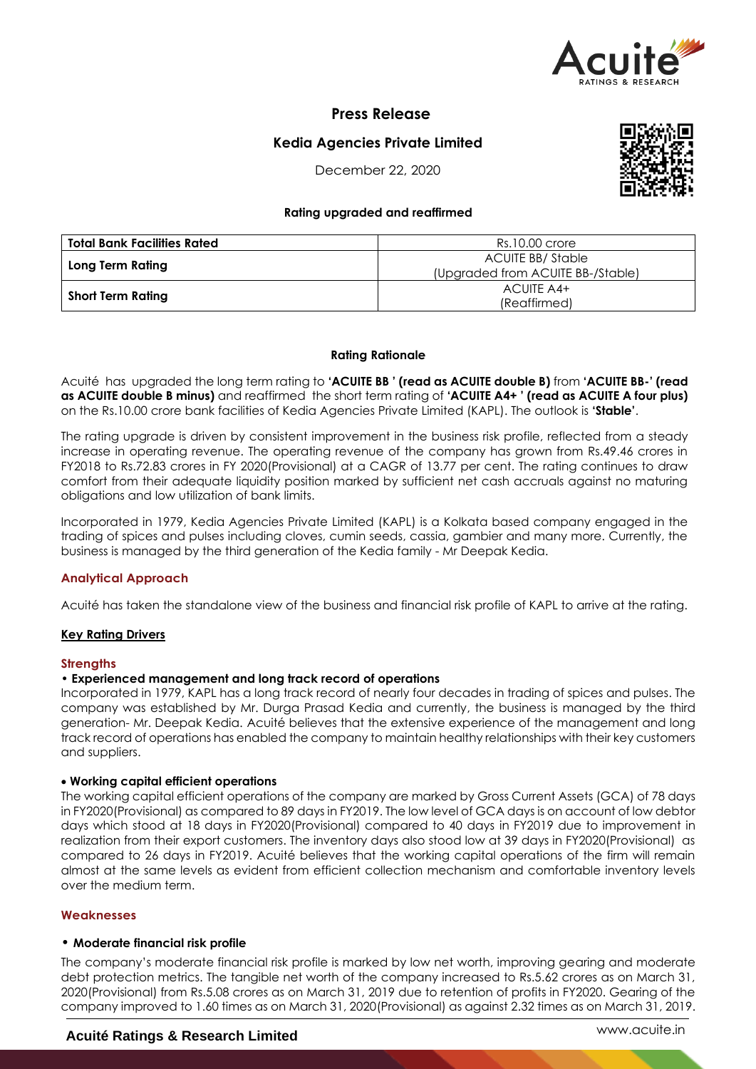

# **Press Release**

# **Kedia Agencies Private Limited**

December 22, 2020

# **Rating upgraded and reaffirmed**

| Total Bank Facilities Rated | Rs.10.00 crore                    |  |
|-----------------------------|-----------------------------------|--|
|                             | ACUITE BB/Stable                  |  |
| Long Term Rating            | (Upgraded from ACUITE BB-/Stable) |  |
|                             | ACUITE A4+                        |  |
| Short Term Rating           | (Reaffirmed)                      |  |

# **Rating Rationale**

Acuité has upgraded the long term rating to **'ACUITE BB ' (read as ACUITE double B)** from **'ACUITE BB-' (read as ACUITE double B minus)** and reaffirmed the short term rating of **'ACUITE A4+ ' (read as ACUITE A four plus)** on the Rs.10.00 crore bank facilities of Kedia Agencies Private Limited (KAPL). The outlook is **'Stable'**.

The rating upgrade is driven by consistent improvement in the business risk profile, reflected from a steady increase in operating revenue. The operating revenue of the company has grown from Rs.49.46 crores in FY2018 to Rs.72.83 crores in FY 2020(Provisional) at a CAGR of 13.77 per cent. The rating continues to draw comfort from their adequate liquidity position marked by sufficient net cash accruals against no maturing obligations and low utilization of bank limits.

Incorporated in 1979, Kedia Agencies Private Limited (KAPL) is a Kolkata based company engaged in the trading of spices and pulses including cloves, cumin seeds, cassia, gambier and many more. Currently, the business is managed by the third generation of the Kedia family - Mr Deepak Kedia.

# **Analytical Approach**

Acuité has taken the standalone view of the business and financial risk profile of KAPL to arrive at the rating.

# **Key Rating Drivers**

# **Strengths**

# • **Experienced management and long track record of operations**

Incorporated in 1979, KAPL has a long track record of nearly four decades in trading of spices and pulses. The company was established by Mr. Durga Prasad Kedia and currently, the business is managed by the third generation- Mr. Deepak Kedia. Acuité believes that the extensive experience of the management and long track record of operations has enabled the company to maintain healthy relationships with their key customers and suppliers.

# **Working capital efficient operations**

The working capital efficient operations of the company are marked by Gross Current Assets (GCA) of 78 days in FY2020(Provisional) as compared to 89 days in FY2019. The low level of GCA days is on account of low debtor days which stood at 18 days in FY2020(Provisional) compared to 40 days in FY2019 due to improvement in realization from their export customers. The inventory days also stood low at 39 days in FY2020(Provisional) as compared to 26 days in FY2019. Acuité believes that the working capital operations of the firm will remain almost at the same levels as evident from efficient collection mechanism and comfortable inventory levels over the medium term.

# **Weaknesses**

# • **Moderate financial risk profile**

The company's moderate financial risk profile is marked by low net worth, improving gearing and moderate debt protection metrics. The tangible net worth of the company increased to Rs.5.62 crores as on March 31, 2020(Provisional) from Rs.5.08 crores as on March 31, 2019 due to retention of profits in FY2020. Gearing of the company improved to 1.60 times as on March 31, 2020(Provisional) as against 2.32 times as on March 31, 2019.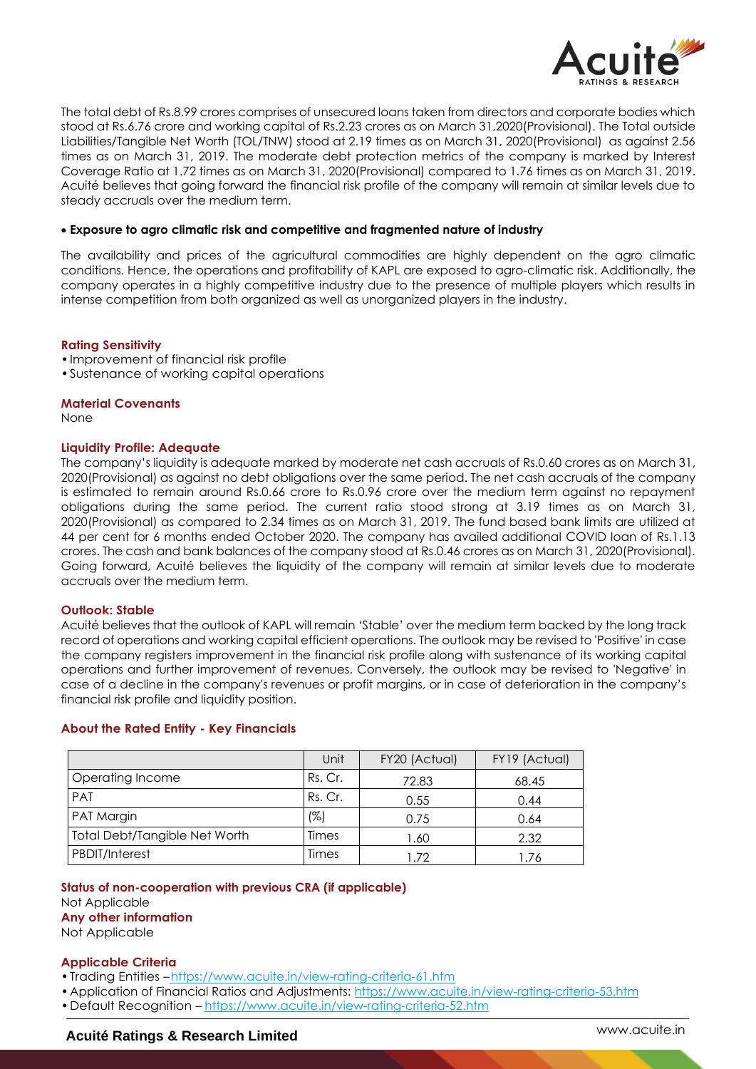

The total debt of Rs.8.99 crores comprises of unsecured loans taken from directors and corporate bodies which stood at Rs.6.76 crore and working capital of Rs.2.23 crores as on March 31,2020(Provisional). The Total outside Liabilities/Tangible Net Worth (TOL/TNW) stood at 2.19 times as on March 31, 2020(Provisional) as against 2.56 times as on March 31, 2019. The moderate debt protection metrics of the company is marked by Interest Coverage Ratio at 1.72 times as on March 31, 2020(Provisional) compared to 1.76 times as on March 31, 2019. Acuité believes that going forward the financial risk profile of the company will remain at similar levels due to steady accruals over the medium term.

# **Exposure to agro climatic risk and competitive and fragmented nature of industry**

The availability and prices of the agricultural commodities are highly dependent on the agro climatic conditions. Hence, the operations and profitability of KAPL are exposed to agro-climatic risk. Additionally, the company operates in a highly competitive industry due to the presence of multiple players which results in intense competition from both organized as well as unorganized players in the industry.

#### **Rating Sensitivity**

- •Improvement of financial risk profile
- •Sustenance of working capital operations

#### **Material Covenants**

None

# **Liquidity Profile: Adequate**

The company's liquidity is adequate marked by moderate net cash accruals of Rs.0.60 crores as on March 31, 2020(Provisional) as against no debt obligations over the same period. The net cash accruals of the company is estimated to remain around Rs.0.66 crore to Rs.0.96 crore over the medium term against no repayment obligations during the same period. The current ratio stood strong at 3.19 times as on March 31, 2020(Provisional) as compared to 2.34 times as on March 31, 2019. The fund based bank limits are utilized at 44 per cent for 6 months ended October 2020. The company has availed additional COVID loan of Rs.1.13 crores. The cash and bank balances of the company stood at Rs.0.46 crores as on March 31, 2020(Provisional). Going forward, Acuité believes the liquidity of the company will remain at similar levels due to moderate accruals over the medium term.

# **Outlook: Stable**

Acuité believes that the outlook of KAPL will remain 'Stable' over the medium term backed by the long track record of operations and working capital efficient operations. The outlook may be revised to 'Positive' in case the company registers improvement in the financial risk profile along with sustenance of its working capital operations and further improvement of revenues. Conversely, the outlook may be revised to 'Negative' in case of a decline in the company's revenues or profit margins, or in case of deterioration in the company's financial risk profile and liquidity position.

# **About the Rated Entity - Key Financials**

|                               | Unit    | FY20 (Actual) | FY19 (Actual) |
|-------------------------------|---------|---------------|---------------|
| Operating Income              | Rs. Cr. | 72.83         | 68.45         |
| <b>PAT</b>                    | Rs. Cr. | 0.55          | 0.44          |
| PAT Margin                    | (%)     | 0.75          | 0.64          |
| Total Debt/Tangible Net Worth | Times   | 1.60          | 2.32          |
| <b>PBDIT/Interest</b>         | Times   | - 72          |               |

**Status of non-cooperation with previous CRA (if applicable)**

Not Applicable

**Any other information**

Not Applicable

#### **Applicable Criteria**

- Trading Entities -https://www.acuite.in/view-rating-criteria-61.htm
- Application of Financial Ratios and Adjustments: https://www.acuite.in/view-rating-criteria-53.htm
- •Default Recognition https://www.acuite.in/view-rating-criteria-52.htm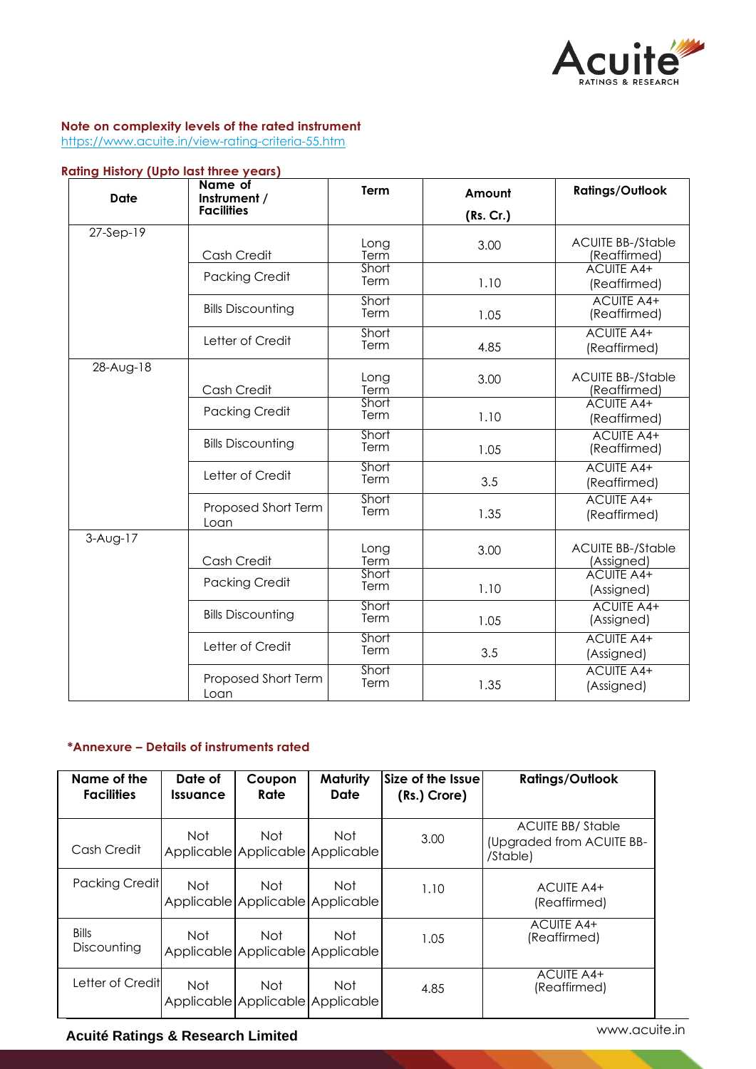

# **Note on complexity levels of the rated instrument**

https://www.acuite.in/view-rating-criteria-55.htm

# **Rating History (Upto last three years)**

| Date        | Name of<br>Instrument /     | <b>Term</b>   | Amount    | <b>Ratings/Outlook</b>                 |
|-------------|-----------------------------|---------------|-----------|----------------------------------------|
|             | <b>Facilities</b>           |               | (Rs. Cr.) |                                        |
| $27-Sep-19$ |                             | Long          | 3.00      | <b>ACUITE BB-/Stable</b>               |
|             | Cash Credit                 | Term          |           | (Reaffirmed)                           |
|             | <b>Packing Credit</b>       | Short<br>Term | 1.10      | <b>ACUITE A4+</b><br>(Reaffirmed)      |
|             | <b>Bills Discounting</b>    | Short<br>Term | 1.05      | <b>ACUITE A4+</b><br>(Reaffirmed)      |
|             | Letter of Credit            | Short<br>Term | 4.85      | <b>ACUITE A4+</b><br>(Reaffirmed)      |
| 28-Aug-18   |                             |               |           | <b>ACUITE BB-/Stable</b>               |
|             | Cash Credit                 | Long<br>Term  | 3.00      | (Reaffirmed)                           |
|             | <b>Packing Credit</b>       | Short<br>Term | 1.10      | <b>ACUITE A4+</b><br>(Reaffirmed)      |
|             | <b>Bills Discounting</b>    | Short<br>Term | 1.05      | <b>ACUITE A4+</b><br>(Reaffirmed)      |
|             | Letter of Credit            | Short<br>Term | 3.5       | <b>ACUITE A4+</b><br>(Reaffirmed)      |
|             | Proposed Short Term<br>Loan | Short<br>Term | 1.35      | <b>ACUITE A4+</b><br>(Reaffirmed)      |
| $3-Auq-17$  | Cash Credit                 | Long<br>Term  | 3.00      | <b>ACUITE BB-/Stable</b><br>(Assigned) |
|             | <b>Packing Credit</b>       | Short<br>Term | 1.10      | <b>ACUITE A4+</b><br>(Assigned)        |
|             | <b>Bills Discounting</b>    | Short<br>Term | 1.05      | <b>ACUITE A4+</b><br>(Assigned)        |
|             | Letter of Credit            | Short<br>Term | 3.5       | <b>ACUITE A4+</b><br>(Assigned)        |
|             | Proposed Short Term<br>Loan | Short<br>Term | 1.35      | <b>ACUITE A4+</b><br>(Assigned)        |

# **\*Annexure – Details of instruments rated**

| Name of the<br><b>Facilities</b> | Date of<br>Issuance | Coupon<br>Rate                          | Maturity<br>Date | Size of the Issue<br>(Rs.) Crore) | <b>Ratings/Outlook</b>                                           |
|----------------------------------|---------------------|-----------------------------------------|------------------|-----------------------------------|------------------------------------------------------------------|
| Cash Credit                      | Not.                | Not<br>Applicable Applicable Applicable | Not              | 3.00                              | <b>ACUITE BB/Stable</b><br>(Upgraded from ACUITE BB-<br>/Stable) |
| Packing Credit                   | Not.                | Not<br>Applicable Applicable Applicable | Not              | 1.10                              | ACUITE A4+<br>(Reaffirmed)                                       |
| <b>Bills</b><br>Discounting      | Not                 | Not<br>Applicable Applicable Applicable | Not              | 1.05                              | ACUITE A4+<br>(Reaffirmed)                                       |
| Letter of Creditl                | Not.                | Not<br>Applicable Applicable Applicable | Not              | 4.85                              | ACUITE A4+<br>(Reaffirmed)                                       |